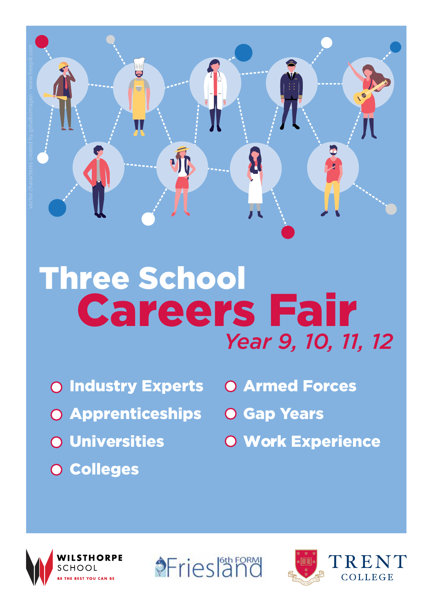

## Three School Careers Fair *Year 9, 10, 11, 12*

- Industry Experts O Armed Forces
- Apprenticeships O Gap Years
- **O Universities**
- O Colleges
- 
- 
- **O Work Experience**





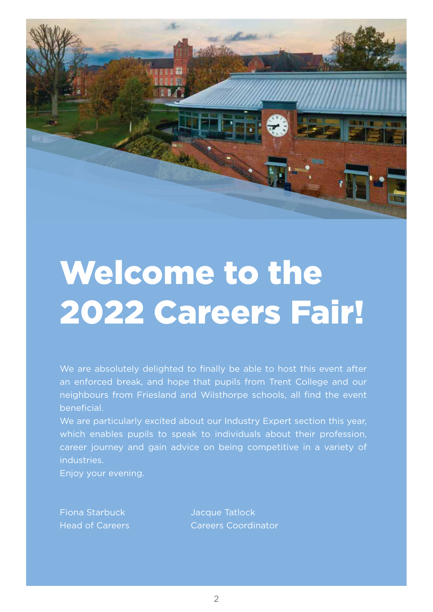

# Welcome to the 2022 Careers Fair!

We are absolutely delighted to finally be able to host this event after an enforced break, and hope that pupils from Trent College and our neighbours from Friesland and Wilsthorpe schools, all find the event beneficial.

We are particularly excited about our Industry Expert section this year, which enables pupils to speak to individuals about their profession, career journey and gain advice on being competitive in a variety of industries.

Enjoy your evening.

Fiona Starbuck Jacque Tatlock

Head of Careers Careers Coordinator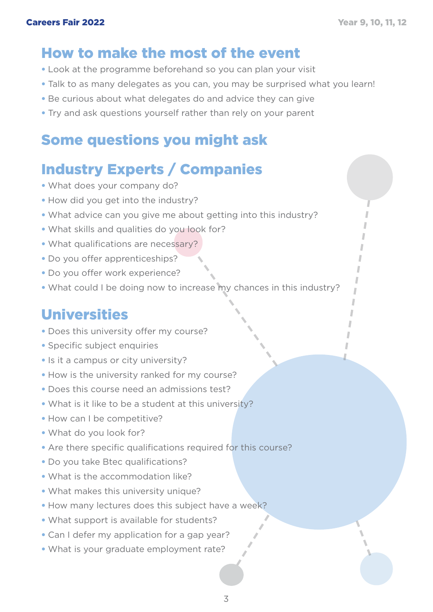## How to make the most of the event

- Look at the programme beforehand so you can plan your visit
- Talk to as many delegates as you can, you may be surprised what you learn!
- Be curious about what delegates do and advice they can give
- Try and ask questions yourself rather than rely on your parent

## Some questions you might ask

## Industry Experts / Companies

- What does your company do?
- How did you get into the industry?
- What advice can you give me about getting into this industry?
- What skills and qualities do you look for?
- What qualifications are necessary?
- Do you offer apprenticeships?
- Do you offer work experience?
- What could I be doing now to increase my chances in this industry?

## Universities

- Does this university offer my course?
- Specific subject enquiries
- Is it a campus or city university?
- How is the university ranked for my course?
- Does this course need an admissions test?
- What is it like to be a student at this university?
- How can I be competitive?
- What do you look for?
- Are there specific qualifications required for this course?
- Do you take Btec qualifications?
- What is the accommodation like?
- What makes this university unique?
- How many lectures does this subject have a week?
- What support is available for students?
- Can I defer my application for a gap year?
- What is your graduate employment rate?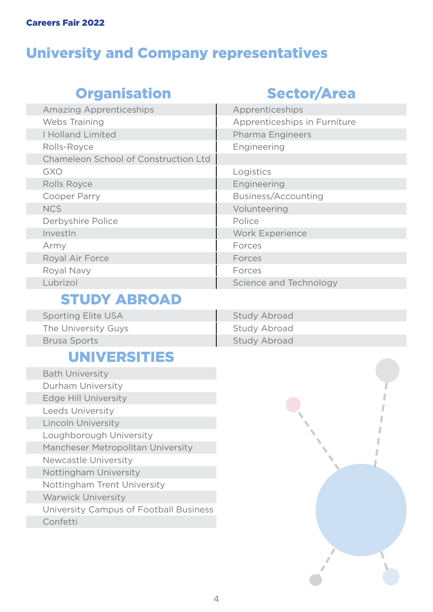#### Careers Fair 2022

## University and Company representatives

## Organisation Sector/Area

| <b>Amazing Apprenticeships</b>       | Apprenticeships              |
|--------------------------------------|------------------------------|
| <b>Webs Training</b>                 | Apprenticeships in Furniture |
| <b>I Holland Limited</b>             | <b>Pharma Engineers</b>      |
| Rolls-Royce                          | Engineering                  |
| Chameleon School of Construction Ltd |                              |
| GXO                                  | Logistics                    |
| Rolls Royce                          | Engineering                  |
| Cooper Parry                         | Business/Accounting          |
| <b>NCS</b>                           | Volunteering                 |
| Derbyshire Police                    | Police                       |
| InvestIn                             | <b>Work Experience</b>       |
| Army                                 | Forces                       |
| Royal Air Force                      | Forces                       |
| Royal Navy                           | Forces                       |
| Lubrizol                             | Science and Technology       |
|                                      |                              |

## STUDY ABROAD

| <b>Sporting Elite USA</b> | <b>Study Abroad</b> |
|---------------------------|---------------------|
| The University Guys       | <b>Study Abroad</b> |
| <b>Brusa Sports</b>       | <b>Study Abroad</b> |

## UNIVERSITIES

| <b>Bath University</b>                 |
|----------------------------------------|
| <b>Durham University</b>               |
| <b>Edge Hill University</b>            |
| <b>Leeds University</b>                |
| <b>Lincoln University</b>              |
| Loughborough University                |
| Mancheser Metropolitan University      |
| <b>Newcastle University</b>            |
| Nottingham University                  |
| Nottingham Trent University            |
| <b>Warwick University</b>              |
| University Campus of Football Business |
| Confetti                               |
|                                        |

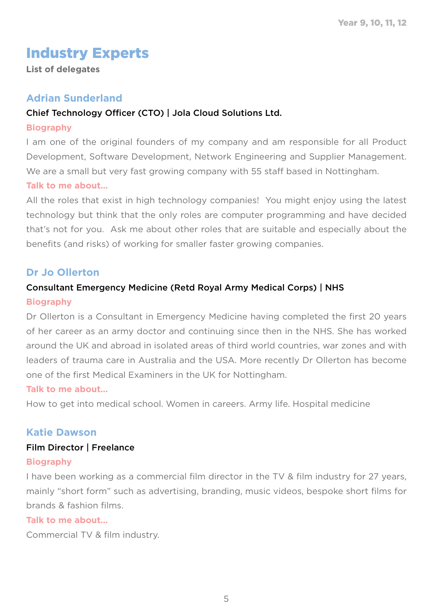## Industry Experts

**List of delegates**

#### **Adrian Sunderland**

#### Chief Technology Officer (CTO) | Jola Cloud Solutions Ltd.

#### **Biography**

I am one of the original founders of my company and am responsible for all Product Development, Software Development, Network Engineering and Supplier Management. We are a small but very fast growing company with 55 staff based in Nottingham.

#### **Talk to me about…**

All the roles that exist in high technology companies! You might enjoy using the latest technology but think that the only roles are computer programming and have decided that's not for you. Ask me about other roles that are suitable and especially about the benefits (and risks) of working for smaller faster growing companies.

#### **Dr Jo Ollerton**

#### Consultant Emergency Medicine (Retd Royal Army Medical Corps) | NHS

#### **Biography**

Dr Ollerton is a Consultant in Emergency Medicine having completed the first 20 years of her career as an army doctor and continuing since then in the NHS. She has worked around the UK and abroad in isolated areas of third world countries, war zones and with leaders of trauma care in Australia and the USA. More recently Dr Ollerton has become one of the first Medical Examiners in the UK for Nottingham.

#### **Talk to me about…**

How to get into medical school. Women in careers. Army life. Hospital medicine

#### **Katie Dawson**

#### Film Director | Freelance

#### **Biography**

I have been working as a commercial film director in the TV & film industry for 27 years, mainly "short form" such as advertising, branding, music videos, bespoke short films for brands & fashion films.

#### **Talk to me about…**

Commercial TV & film industry.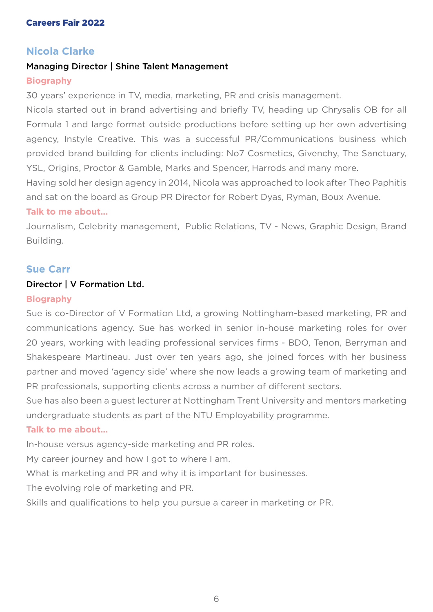#### **Nicola Clarke**

#### Managing Director | Shine Talent Management

#### **Biography**

30 years' experience in TV, media, marketing, PR and crisis management.

Nicola started out in brand advertising and briefly TV, heading up Chrysalis OB for all Formula 1 and large format outside productions before setting up her own advertising agency, Instyle Creative. This was a successful PR/Communications business which provided brand building for clients including: No7 Cosmetics, Givenchy, The Sanctuary, YSL, Origins, Proctor & Gamble, Marks and Spencer, Harrods and many more.

Having sold her design agency in 2014, Nicola was approached to look after Theo Paphitis and sat on the board as Group PR Director for Robert Dyas, Ryman, Boux Avenue.

#### **Talk to me about…**

Journalism, Celebrity management, Public Relations, TV - News, Graphic Design, Brand Building.

#### **Sue Carr**

#### Director | V Formation Ltd.

#### **Biography**

Sue is co-Director of V Formation Ltd, a growing Nottingham-based marketing, PR and communications agency. Sue has worked in senior in-house marketing roles for over 20 years, working with leading professional services firms - BDO, Tenon, Berryman and Shakespeare Martineau. Just over ten years ago, she joined forces with her business partner and moved 'agency side' where she now leads a growing team of marketing and PR professionals, supporting clients across a number of different sectors.

Sue has also been a guest lecturer at Nottingham Trent University and mentors marketing undergraduate students as part of the NTU Employability programme.

#### **Talk to me about…**

In-house versus agency-side marketing and PR roles.

My career journey and how I got to where I am.

What is marketing and PR and why it is important for businesses.

The evolving role of marketing and PR.

Skills and qualifications to help you pursue a career in marketing or PR.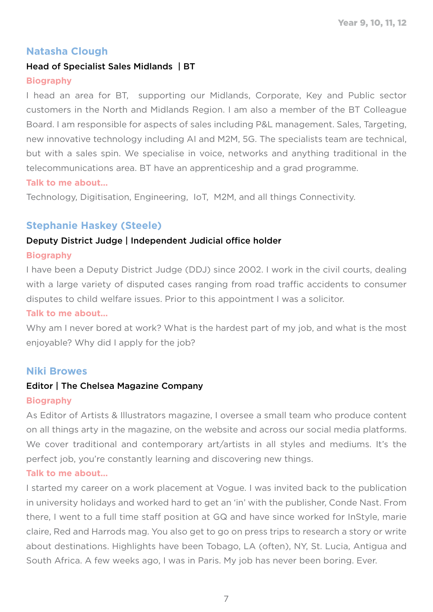#### **Natasha Clough**

#### Head of Specialist Sales Midlands | BT

#### **Biography**

I head an area for BT, supporting our Midlands, Corporate, Key and Public sector customers in the North and Midlands Region. I am also a member of the BT Colleague Board. I am responsible for aspects of sales including P&L management. Sales, Targeting, new innovative technology including AI and M2M, 5G. The specialists team are technical, but with a sales spin. We specialise in voice, networks and anything traditional in the telecommunications area. BT have an apprenticeship and a grad programme.

#### **Talk to me about…**

Technology, Digitisation, Engineering, IoT, M2M, and all things Connectivity.

#### **Stephanie Haskey (Steele)**

#### Deputy District Judge | Independent Judicial office holder

#### **Biography**

I have been a Deputy District Judge (DDJ) since 2002. I work in the civil courts, dealing with a large variety of disputed cases ranging from road traffic accidents to consumer disputes to child welfare issues. Prior to this appointment I was a solicitor.

#### **Talk to me about…**

Why am I never bored at work? What is the hardest part of my job, and what is the most enjoyable? Why did I apply for the job?

#### **Niki Browes**

#### Editor | The Chelsea Magazine Company

#### **Biography**

As Editor of Artists & Illustrators magazine, I oversee a small team who produce content on all things arty in the magazine, on the website and across our social media platforms. We cover traditional and contemporary art/artists in all styles and mediums. It's the perfect job, you're constantly learning and discovering new things.

#### **Talk to me about…**

I started my career on a work placement at Vogue. I was invited back to the publication in university holidays and worked hard to get an 'in' with the publisher, Conde Nast. From there, I went to a full time staff position at GQ and have since worked for InStyle, marie claire, Red and Harrods mag. You also get to go on press trips to research a story or write about destinations. Highlights have been Tobago, LA (often), NY, St. Lucia, Antigua and South Africa. A few weeks ago, I was in Paris. My job has never been boring. Ever.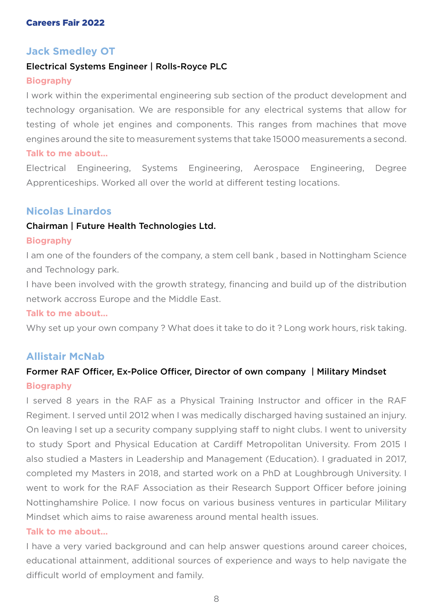#### **Jack Smedley OT**

#### Electrical Systems Engineer | Rolls-Royce PLC

#### **Biography**

I work within the experimental engineering sub section of the product development and technology organisation. We are responsible for any electrical systems that allow for testing of whole jet engines and components. This ranges from machines that move engines around the site to measurement systems that take 15000 measurements a second. **Talk to me about…**

Electrical Engineering, Systems Engineering, Aerospace Engineering, Degree Apprenticeships. Worked all over the world at different testing locations.

#### **Nicolas Linardos**

#### Chairman | Future Health Technologies Ltd.

#### **Biography**

I am one of the founders of the company, a stem cell bank , based in Nottingham Science and Technology park.

I have been involved with the growth strategy, financing and build up of the distribution network accross Europe and the Middle East.

#### **Talk to me about…**

Why set up your own company ? What does it take to do it ? Long work hours, risk taking.

#### **Allistair McNab**

#### Former RAF Officer, Ex-Police Officer, Director of own company | Military Mindset **Biography**

I served 8 years in the RAF as a Physical Training Instructor and officer in the RAF Regiment. I served until 2012 when I was medically discharged having sustained an injury. On leaving I set up a security company supplying staff to night clubs. I went to university to study Sport and Physical Education at Cardiff Metropolitan University. From 2015 I also studied a Masters in Leadership and Management (Education). I graduated in 2017, completed my Masters in 2018, and started work on a PhD at Loughbrough University. I went to work for the RAF Association as their Research Support Officer before joining Nottinghamshire Police. I now focus on various business ventures in particular Military Mindset which aims to raise awareness around mental health issues.

#### **Talk to me about…**

I have a very varied background and can help answer questions around career choices, educational attainment, additional sources of experience and ways to help navigate the difficult world of employment and family.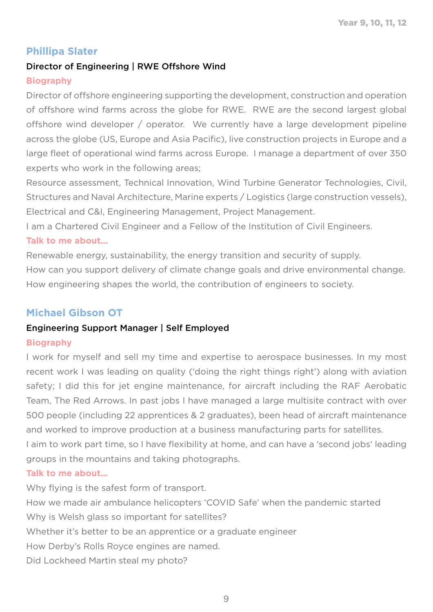#### **Phillipa Slater**

#### Director of Engineering | RWE Offshore Wind

#### **Biography**

Director of offshore engineering supporting the development, construction and operation of offshore wind farms across the globe for RWE. RWE are the second largest global offshore wind developer / operator. We currently have a large development pipeline across the globe (US, Europe and Asia Pacific), live construction projects in Europe and a large fleet of operational wind farms across Europe. I manage a department of over 350 experts who work in the following areas;

Resource assessment, Technical Innovation, Wind Turbine Generator Technologies, Civil, Structures and Naval Architecture, Marine experts / Logistics (large construction vessels), Electrical and C&I, Engineering Management, Project Management.

I am a Chartered Civil Engineer and a Fellow of the Institution of Civil Engineers.

#### **Talk to me about…**

Renewable energy, sustainability, the energy transition and security of supply. How can you support delivery of climate change goals and drive environmental change. How engineering shapes the world, the contribution of engineers to society.

#### **Michael Gibson OT**

#### Engineering Support Manager | Self Employed

#### **Biography**

I work for myself and sell my time and expertise to aerospace businesses. In my most recent work I was leading on quality ('doing the right things right') along with aviation safety; I did this for jet engine maintenance, for aircraft including the RAF Aerobatic Team, The Red Arrows. In past jobs I have managed a large multisite contract with over 500 people (including 22 apprentices & 2 graduates), been head of aircraft maintenance and worked to improve production at a business manufacturing parts for satellites.

I aim to work part time, so I have flexibility at home, and can have a 'second jobs' leading groups in the mountains and taking photographs.

#### **Talk to me about…**

Why flying is the safest form of transport.

How we made air ambulance helicopters 'COVID Safe' when the pandemic started Why is Welsh glass so important for satellites?

Whether it's better to be an apprentice or a graduate engineer

How Derby's Rolls Royce engines are named.

Did Lockheed Martin steal my photo?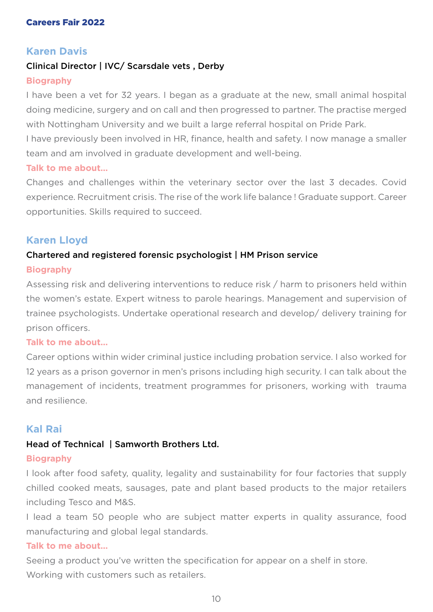#### **Karen Davis**

#### Clinical Director | IVC/ Scarsdale vets , Derby

#### **Biography**

I have been a vet for 32 years. I began as a graduate at the new, small animal hospital doing medicine, surgery and on call and then progressed to partner. The practise merged with Nottingham University and we built a large referral hospital on Pride Park.

I have previously been involved in HR, finance, health and safety. I now manage a smaller team and am involved in graduate development and well-being.

#### **Talk to me about…**

Changes and challenges within the veterinary sector over the last 3 decades. Covid experience. Recruitment crisis. The rise of the work life balance ! Graduate support. Career opportunities. Skills required to succeed.

#### **Karen Lloyd**

#### Chartered and registered forensic psychologist | HM Prison service

#### **Biography**

Assessing risk and delivering interventions to reduce risk / harm to prisoners held within the women's estate. Expert witness to parole hearings. Management and supervision of trainee psychologists. Undertake operational research and develop/ delivery training for prison officers.

#### **Talk to me about…**

Career options within wider criminal justice including probation service. I also worked for 12 years as a prison governor in men's prisons including high security. I can talk about the management of incidents, treatment programmes for prisoners, working with trauma and resilience.

#### **Kal Rai**

#### Head of Technical | Samworth Brothers Ltd.

#### **Biography**

I look after food safety, quality, legality and sustainability for four factories that supply chilled cooked meats, sausages, pate and plant based products to the major retailers including Tesco and M&S.

I lead a team 50 people who are subject matter experts in quality assurance, food manufacturing and global legal standards.

#### **Talk to me about…**

Seeing a product you've written the specification for appear on a shelf in store. Working with customers such as retailers.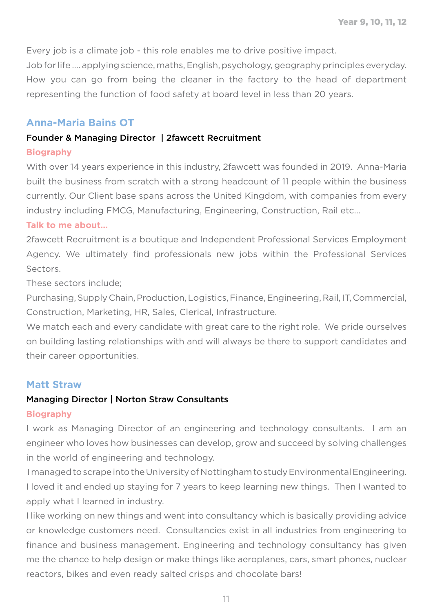Every job is a climate job - this role enables me to drive positive impact.

Job for life …. applying science, maths, English, psychology, geography principles everyday. How you can go from being the cleaner in the factory to the head of department representing the function of food safety at board level in less than 20 years.

#### **Anna-Maria Bains OT**

#### Founder & Managing Director | 2fawcett Recruitment

#### **Biography**

With over 14 years experience in this industry, 2fawcett was founded in 2019. Anna-Maria built the business from scratch with a strong headcount of 11 people within the business currently. Our Client base spans across the United Kingdom, with companies from every industry including FMCG, Manufacturing, Engineering, Construction, Rail etc...

#### **Talk to me about…**

2fawcett Recruitment is a boutique and Independent Professional Services Employment Agency. We ultimately find professionals new jobs within the Professional Services Sectors.

These sectors include;

Purchasing, Supply Chain, Production, Logistics, Finance, Engineering, Rail, IT, Commercial, Construction, Marketing, HR, Sales, Clerical, Infrastructure.

We match each and every candidate with great care to the right role. We pride ourselves on building lasting relationships with and will always be there to support candidates and their career opportunities.

#### **Matt Straw**

#### Managing Director | Norton Straw Consultants

#### **Biography**

I work as Managing Director of an engineering and technology consultants. I am an engineer who loves how businesses can develop, grow and succeed by solving challenges in the world of engineering and technology.

 I managed to scrape into the University of Nottingham to study Environmental Engineering. I loved it and ended up staying for 7 years to keep learning new things. Then I wanted to apply what I learned in industry.

I like working on new things and went into consultancy which is basically providing advice or knowledge customers need. Consultancies exist in all industries from engineering to finance and business management. Engineering and technology consultancy has given me the chance to help design or make things like aeroplanes, cars, smart phones, nuclear reactors, bikes and even ready salted crisps and chocolate bars!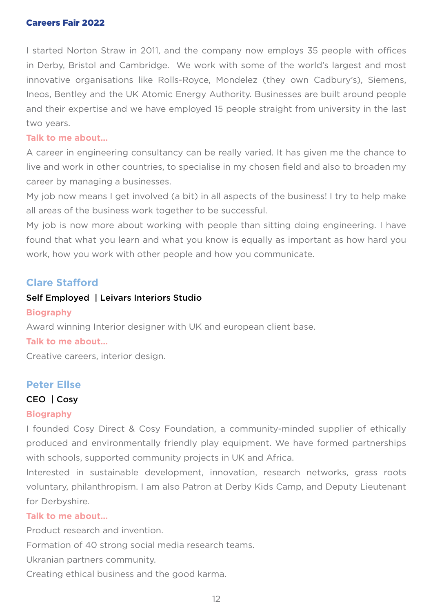#### Careers Fair 2022

I started Norton Straw in 2011, and the company now employs 35 people with offices in Derby, Bristol and Cambridge. We work with some of the world's largest and most innovative organisations like Rolls-Royce, Mondelez (they own Cadbury's), Siemens, Ineos, Bentley and the UK Atomic Energy Authority. Businesses are built around people and their expertise and we have employed 15 people straight from university in the last two years.

#### **Talk to me about…**

A career in engineering consultancy can be really varied. It has given me the chance to live and work in other countries, to specialise in my chosen field and also to broaden my career by managing a businesses.

My job now means I get involved (a bit) in all aspects of the business! I try to help make all areas of the business work together to be successful.

My job is now more about working with people than sitting doing engineering. I have found that what you learn and what you know is equally as important as how hard you work, how you work with other people and how you communicate.

#### **Clare Stafford**

#### Self Employed | Leivars Interiors Studio

#### **Biography**

Award winning Interior designer with UK and european client base.

#### **Talk to me about…**

Creative careers, interior design.

#### **Peter Ellse**

#### CEO | Cosy

#### **Biography**

I founded Cosy Direct & Cosy Foundation, a community-minded supplier of ethically produced and environmentally friendly play equipment. We have formed partnerships with schools, supported community projects in UK and Africa.

Interested in sustainable development, innovation, research networks, grass roots voluntary, philanthropism. I am also Patron at Derby Kids Camp, and Deputy Lieutenant for Derbyshire.

#### **Talk to me about…**

Product research and invention.

Formation of 40 strong social media research teams.

Ukranian partners community.

Creating ethical business and the good karma.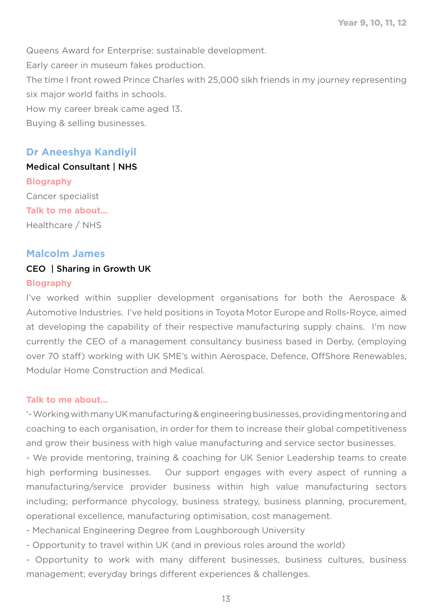Queens Award for Enterprise: sustainable development. Early career in museum fakes production. The time I front rowed Prince Charles with 25,000 sikh friends in my journey representing six major world faiths in schools. How my career break came aged 13. Buying & selling businesses.

#### **Dr Aneeshya Kandiyil**

Medical Consultant | NHS **Biography** Cancer specialist **Talk to me about…** Healthcare / NHS

#### **Malcolm James**

#### CEO | Sharing in Growth UK

#### **Biography**

I've worked within supplier development organisations for both the Aerospace & Automotive Industries. I've held positions in Toyota Motor Europe and Rolls-Royce, aimed at developing the capability of their respective manufacturing supply chains. I'm now currently the CEO of a management consultancy business based in Derby, (employing over 70 staff) working with UK SME's within Aerospace, Defence, OffShore Renewables, Modular Home Construction and Medical.

#### **Talk to me about…**

'- Working with many UK manufacturing & engineering businesses, providing mentoring and coaching to each organisation, in order for them to increase their global competitiveness and grow their business with high value manufacturing and service sector businesses.

- We provide mentoring, training & coaching for UK Senior Leadership teams to create high performing businesses. Our support engages with every aspect of running a manufacturing/service provider business within high value manufacturing sectors including; performance phycology, business strategy, business planning, procurement, operational excellence, manufacturing optimisation, cost management.

- Mechanical Engineering Degree from Loughborough University
- Opportunity to travel within UK (and in previous roles around the world)
- Opportunity to work with many different businesses, business cultures, business management; everyday brings different experiences & challenges.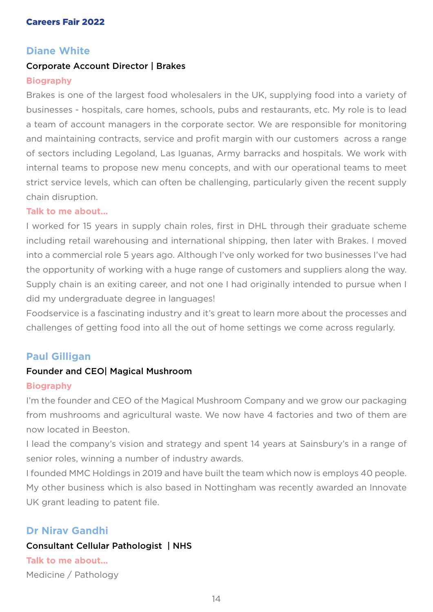#### **Diane White**

#### Corporate Account Director | Brakes

#### **Biography**

Brakes is one of the largest food wholesalers in the UK, supplying food into a variety of businesses - hospitals, care homes, schools, pubs and restaurants, etc. My role is to lead a team of account managers in the corporate sector. We are responsible for monitoring and maintaining contracts, service and profit margin with our customers across a range of sectors including Legoland, Las Iguanas, Army barracks and hospitals. We work with internal teams to propose new menu concepts, and with our operational teams to meet strict service levels, which can often be challenging, particularly given the recent supply chain disruption.

#### **Talk to me about…**

I worked for 15 years in supply chain roles, first in DHL through their graduate scheme including retail warehousing and international shipping, then later with Brakes. I moved into a commercial role 5 years ago. Although I've only worked for two businesses I've had the opportunity of working with a huge range of customers and suppliers along the way. Supply chain is an exiting career, and not one I had originally intended to pursue when I did my undergraduate degree in languages!

Foodservice is a fascinating industry and it's great to learn more about the processes and challenges of getting food into all the out of home settings we come across regularly.

#### **Paul Gilligan**

#### Founder and CEO| Magical Mushroom

#### **Biography**

I'm the founder and CEO of the Magical Mushroom Company and we grow our packaging from mushrooms and agricultural waste. We now have 4 factories and two of them are now located in Beeston.

I lead the company's vision and strategy and spent 14 years at Sainsbury's in a range of senior roles, winning a number of industry awards.

I founded MMC Holdings in 2019 and have built the team which now is employs 40 people. My other business which is also based in Nottingham was recently awarded an Innovate UK grant leading to patent file.

#### **Dr Nirav Gandhi**

### Consultant Cellular Pathologist | NHS

**Talk to me about…** Medicine / Pathology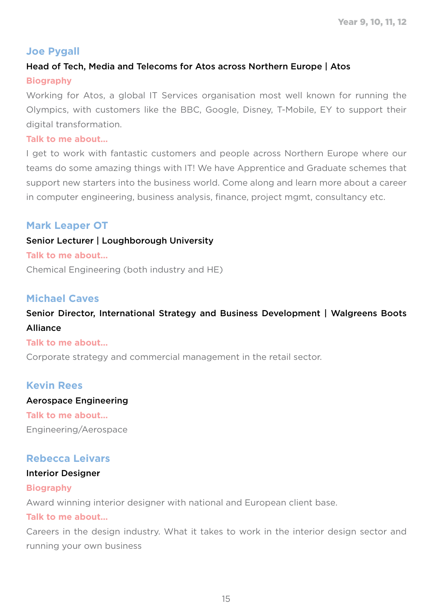#### **Joe Pygall**

#### Head of Tech, Media and Telecoms for Atos across Northern Europe | Atos **Biography**

Working for Atos, a global IT Services organisation most well known for running the Olympics, with customers like the BBC, Google, Disney, T-Mobile, EY to support their digital transformation.

#### **Talk to me about…**

I get to work with fantastic customers and people across Northern Europe where our teams do some amazing things with IT! We have Apprentice and Graduate schemes that support new starters into the business world. Come along and learn more about a career in computer engineering, business analysis, finance, project mgmt, consultancy etc.

#### **Mark Leaper OT**

#### Senior Lecturer | Loughborough University

#### **Talk to me about…**

Chemical Engineering (both industry and HE)

#### **Michael Caves**

#### Senior Director, International Strategy and Business Development | Walgreens Boots Alliance

#### **Talk to me about…**

Corporate strategy and commercial management in the retail sector.

#### **Kevin Rees**

#### Aerospace Engineering **Talk to me about…** Engineering/Aerospace

#### **Rebecca Leivars**

#### Interior Designer

#### **Biography**

Award winning interior designer with national and European client base.

#### **Talk to me about…**

Careers in the design industry. What it takes to work in the interior design sector and running your own business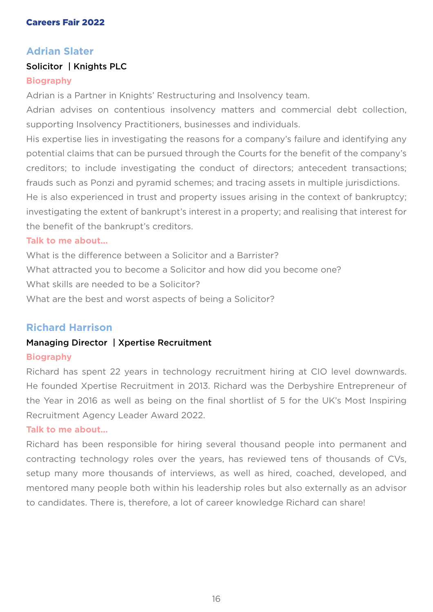#### **Adrian Slater**

#### Solicitor | Knights PLC

#### **Biography**

Adrian is a Partner in Knights' Restructuring and Insolvency team.

Adrian advises on contentious insolvency matters and commercial debt collection, supporting Insolvency Practitioners, businesses and individuals.

His expertise lies in investigating the reasons for a company's failure and identifying any potential claims that can be pursued through the Courts for the benefit of the company's creditors; to include investigating the conduct of directors; antecedent transactions; frauds such as Ponzi and pyramid schemes; and tracing assets in multiple jurisdictions. He is also experienced in trust and property issues arising in the context of bankruptcy; investigating the extent of bankrupt's interest in a property; and realising that interest for the benefit of the bankrupt's creditors.

#### **Talk to me about…**

What is the difference between a Solicitor and a Barrister? What attracted you to become a Solicitor and how did you become one? What skills are needed to be a Solicitor? What are the best and worst aspects of being a Solicitor?

#### **Richard Harrison**

#### Managing Director | Xpertise Recruitment

#### **Biography**

Richard has spent 22 years in technology recruitment hiring at CIO level downwards. He founded Xpertise Recruitment in 2013. Richard was the Derbyshire Entrepreneur of the Year in 2016 as well as being on the final shortlist of 5 for the UK's Most Inspiring Recruitment Agency Leader Award 2022.

#### **Talk to me about…**

Richard has been responsible for hiring several thousand people into permanent and contracting technology roles over the years, has reviewed tens of thousands of CVs, setup many more thousands of interviews, as well as hired, coached, developed, and mentored many people both within his leadership roles but also externally as an advisor to candidates. There is, therefore, a lot of career knowledge Richard can share!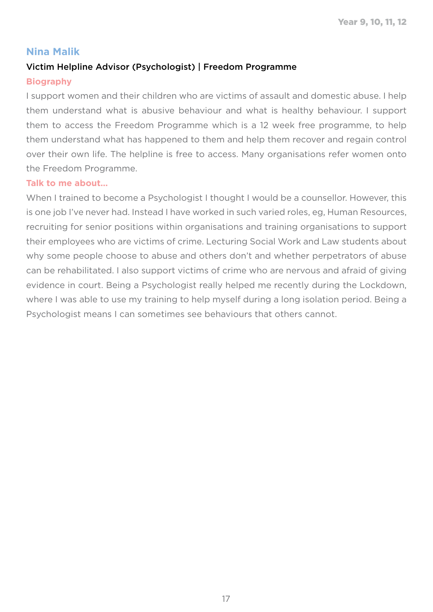#### **Nina Malik**

#### Victim Helpline Advisor (Psychologist) | Freedom Programme

#### **Biography**

I support women and their children who are victims of assault and domestic abuse. I help them understand what is abusive behaviour and what is healthy behaviour. I support them to access the Freedom Programme which is a 12 week free programme, to help them understand what has happened to them and help them recover and regain control over their own life. The helpline is free to access. Many organisations refer women onto the Freedom Programme.

#### **Talk to me about…**

When I trained to become a Psychologist I thought I would be a counsellor. However, this is one job I've never had. Instead I have worked in such varied roles, eg, Human Resources, recruiting for senior positions within organisations and training organisations to support their employees who are victims of crime. Lecturing Social Work and Law students about why some people choose to abuse and others don't and whether perpetrators of abuse can be rehabilitated. I also support victims of crime who are nervous and afraid of giving evidence in court. Being a Psychologist really helped me recently during the Lockdown, where I was able to use my training to help myself during a long isolation period. Being a Psychologist means I can sometimes see behaviours that others cannot.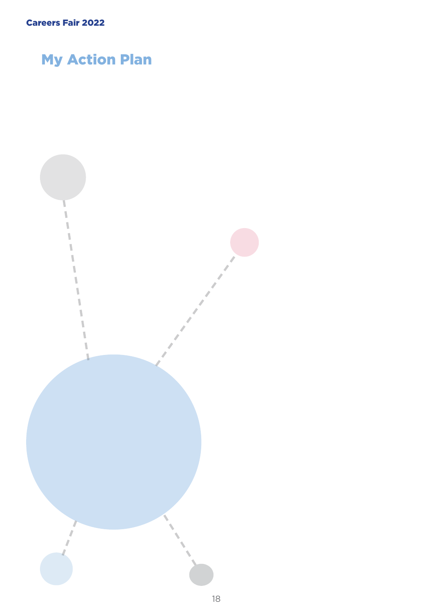## My Action Plan

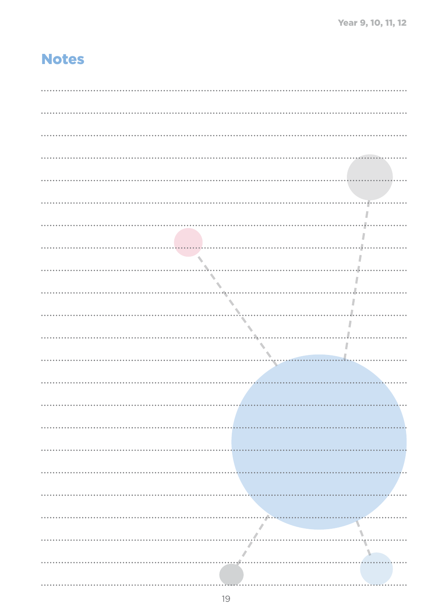## Notes

|                    | $\label{eq:3}$                |
|--------------------|-------------------------------|
| $\hat{\mathbf{v}}$ | $\sqrt{2}$                    |
|                    |                               |
|                    | $\sqrt{ }$<br>$\blacklozenge$ |
|                    |                               |
|                    |                               |
|                    |                               |
|                    |                               |
|                    |                               |
|                    |                               |
|                    |                               |
|                    |                               |
|                    |                               |
|                    |                               |
|                    |                               |
|                    |                               |
|                    |                               |